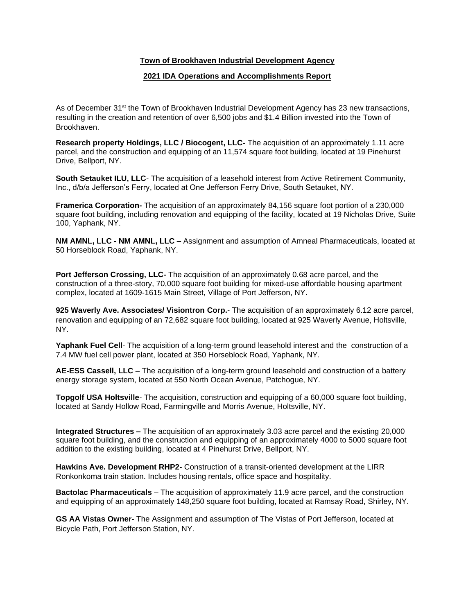## **Town of Brookhaven Industrial Development Agency**

## **2021 IDA Operations and Accomplishments Report**

As of December 31<sup>st</sup> the Town of Brookhaven Industrial Development Agency has 23 new transactions, resulting in the creation and retention of over 6,500 jobs and \$1.4 Billion invested into the Town of Brookhaven.

**Research property Holdings, LLC / Biocogent, LLC-** The acquisition of an approximately 1.11 acre parcel, and the construction and equipping of an 11,574 square foot building, located at 19 Pinehurst Drive, Bellport, NY.

**South Setauket ILU, LLC**- The acquisition of a leasehold interest from Active Retirement Community, Inc., d/b/a Jefferson's Ferry, located at One Jefferson Ferry Drive, South Setauket, NY.

**Framerica Corporation-** The acquisition of an approximately 84,156 square foot portion of a 230,000 square foot building, including renovation and equipping of the facility, located at 19 Nicholas Drive, Suite 100, Yaphank, NY.

**NM AMNL, LLC - NM AMNL, LLC –** Assignment and assumption of Amneal Pharmaceuticals, located at 50 Horseblock Road, Yaphank, NY.

**Port Jefferson Crossing, LLC-** The acquisition of an approximately 0.68 acre parcel, and the construction of a three-story, 70,000 square foot building for mixed-use affordable housing apartment complex, located at 1609-1615 Main Street, Village of Port Jefferson, NY.

**925 Waverly Ave. Associates/ Visiontron Corp.**- The acquisition of an approximately 6.12 acre parcel, renovation and equipping of an 72,682 square foot building, located at 925 Waverly Avenue, Holtsville, NY.

**Yaphank Fuel Cell**- The acquisition of a long-term ground leasehold interest and the construction of a 7.4 MW fuel cell power plant, located at 350 Horseblock Road, Yaphank, NY.

**AE-ESS Cassell, LLC** – The acquisition of a long-term ground leasehold and construction of a battery energy storage system, located at 550 North Ocean Avenue, Patchogue, NY.

**Topgolf USA Holtsville**- The acquisition, construction and equipping of a 60,000 square foot building, located at Sandy Hollow Road, Farmingville and Morris Avenue, Holtsville, NY.

**Integrated Structures –** The acquisition of an approximately 3.03 acre parcel and the existing 20,000 square foot building, and the construction and equipping of an approximately 4000 to 5000 square foot addition to the existing building, located at 4 Pinehurst Drive, Bellport, NY.

**Hawkins Ave. Development RHP2-** Construction of a transit-oriented development at the LIRR Ronkonkoma train station. Includes housing rentals, office space and hospitality.

**Bactolac Pharmaceuticals** – The acquisition of approximately 11.9 acre parcel, and the construction and equipping of an approximately 148,250 square foot building, located at Ramsay Road, Shirley, NY.

**GS AA Vistas Owner-** The Assignment and assumption of The Vistas of Port Jefferson, located at Bicycle Path, Port Jefferson Station, NY.